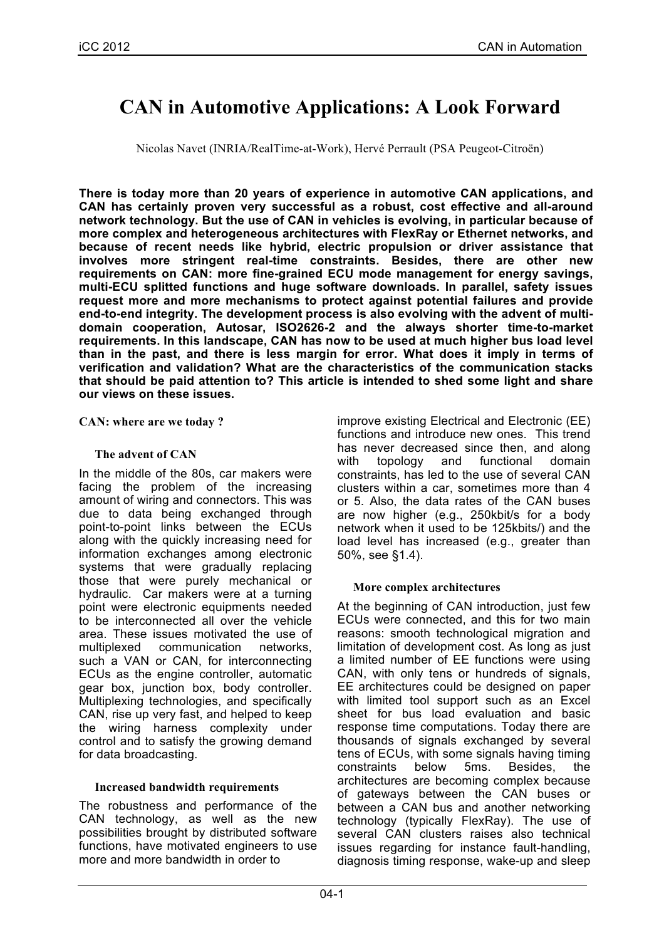# **CAN in Automotive Applications: A Look Forward**

Nicolas Navet (INRIA/RealTime-at-Work), Hervé Perrault (PSA Peugeot-Citroën)

**There is today more than 20 years of experience in automotive CAN applications, and CAN has certainly proven very successful as a robust, cost effective and all-around network technology. But the use of CAN in vehicles is evolving, in particular because of more complex and heterogeneous architectures with FlexRay or Ethernet networks, and because of recent needs like hybrid, electric propulsion or driver assistance that involves more stringent real-time constraints. Besides, there are other new requirements on CAN: more fine-grained ECU mode management for energy savings, multi-ECU splitted functions and huge software downloads. In parallel, safety issues request more and more mechanisms to protect against potential failures and provide end-to-end integrity. The development process is also evolving with the advent of multidomain cooperation, Autosar, ISO2626-2 and the always shorter time-to-market requirements. In this landscape, CAN has now to be used at much higher bus load level than in the past, and there is less margin for error. What does it imply in terms of verification and validation? What are the characteristics of the communication stacks that should be paid attention to? This article is intended to shed some light and share our views on these issues.**

**CAN: where are we today ?**

## **The advent of CAN**

In the middle of the 80s, car makers were facing the problem of the increasing amount of wiring and connectors. This was due to data being exchanged through point-to-point links between the ECUs along with the quickly increasing need for information exchanges among electronic systems that were gradually replacing those that were purely mechanical or hydraulic. Car makers were at a turning point were electronic equipments needed to be interconnected all over the vehicle area. These issues motivated the use of multiplexed communication networks, such a VAN or CAN, for interconnecting ECUs as the engine controller, automatic gear box, junction box, body controller. Multiplexing technologies, and specifically CAN, rise up very fast, and helped to keep the wiring harness complexity under control and to satisfy the growing demand for data broadcasting.

# **Increased bandwidth requirements**

The robustness and performance of the CAN technology, as well as the new possibilities brought by distributed software functions, have motivated engineers to use more and more bandwidth in order to

improve existing Electrical and Electronic (EE) functions and introduce new ones. This trend has never decreased since then, and along with topology and functional domain constraints, has led to the use of several CAN clusters within a car, sometimes more than 4 or 5. Also, the data rates of the CAN buses are now higher (e.g., 250kbit/s for a body network when it used to be 125kbits/) and the load level has increased (e.g., greater than 50%, see §1.4).

# **More complex architectures**

At the beginning of CAN introduction, just few ECUs were connected, and this for two main reasons: smooth technological migration and limitation of development cost. As long as just a limited number of EE functions were using CAN, with only tens or hundreds of signals, EE architectures could be designed on paper with limited tool support such as an Excel sheet for bus load evaluation and basic response time computations. Today there are thousands of signals exchanged by several tens of ECUs, with some signals having timing constraints below 5ms. Besides, the architectures are becoming complex because of gateways between the CAN buses or between a CAN bus and another networking technology (typically FlexRay). The use of several CAN clusters raises also technical issues regarding for instance fault-handling, diagnosis timing response, wake-up and sleep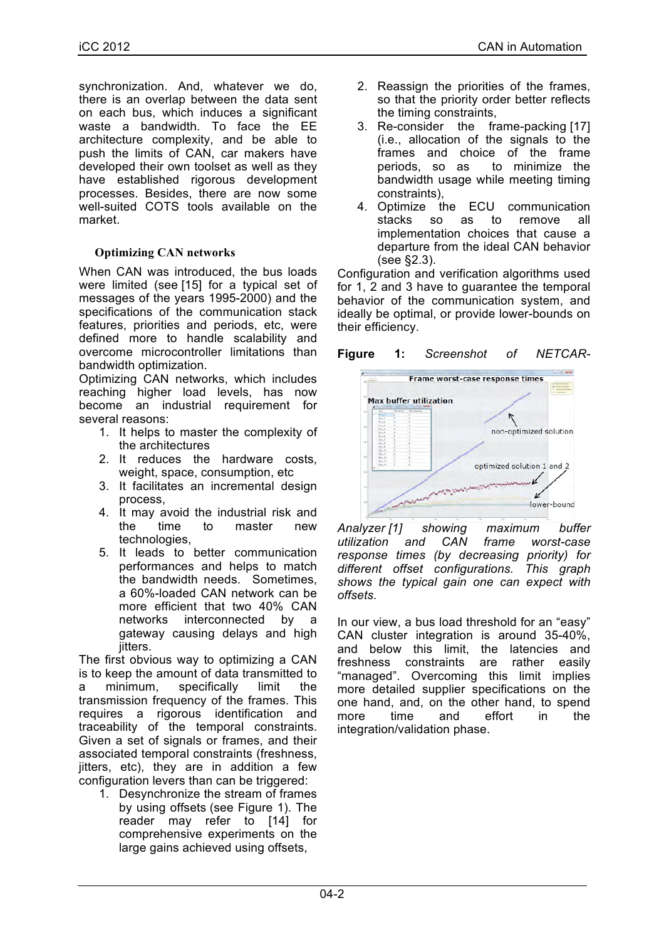synchronization. And, whatever we do, there is an overlap between the data sent on each bus, which induces a significant waste a bandwidth. To face the EE architecture complexity, and be able to push the limits of CAN, car makers have developed their own toolset as well as they have established rigorous development processes. Besides, there are now some well-suited COTS tools available on the market.

# **Optimizing CAN networks**

When CAN was introduced, the bus loads were limited (see [15] for a typical set of messages of the years 1995-2000) and the specifications of the communication stack features, priorities and periods, etc, were defined more to handle scalability and overcome microcontroller limitations than bandwidth optimization.

Optimizing CAN networks, which includes reaching higher load levels, has now become an industrial requirement for several reasons:

- 1. It helps to master the complexity of the architectures
- 2. It reduces the hardware costs, weight, space, consumption, etc
- 3. It facilitates an incremental design process,
- 4. It may avoid the industrial risk and the time to master new technologies,
- 5. It leads to better communication performances and helps to match the bandwidth needs. Sometimes, a 60%-loaded CAN network can be more efficient that two 40% CAN networks interconnected by a gateway causing delays and high jitters.

The first obvious way to optimizing a CAN is to keep the amount of data transmitted to a minimum, specifically limit the transmission frequency of the frames. This requires a rigorous identification and traceability of the temporal constraints. Given a set of signals or frames, and their associated temporal constraints (freshness, jitters, etc), they are in addition a few configuration levers than can be triggered:

1. Desynchronize the stream of frames by using offsets (see Figure 1). The reader may refer to [14] for comprehensive experiments on the large gains achieved using offsets,

- 2. Reassign the priorities of the frames, so that the priority order better reflects the timing constraints,
- 3. Re-consider the frame-packing [17] (i.e., allocation of the signals to the frames and choice of the frame periods, so as to minimize the bandwidth usage while meeting timing constraints),
- 4. Optimize the ECU communication stacks so as to remove all implementation choices that cause a departure from the ideal CAN behavior (see §2.3).

Configuration and verification algorithms used for 1, 2 and 3 have to guarantee the temporal behavior of the communication system, and ideally be optimal, or provide lower-bounds on their efficiency.





*Analyzer [1] showing maximum buffer utilization and CAN frame worst-case response times (by decreasing priority) for different offset configurations. This graph shows the typical gain one can expect with offsets.*

In our view, a bus load threshold for an "easy" CAN cluster integration is around 35-40%, and below this limit, the latencies and freshness constraints are rather easily "managed". Overcoming this limit implies more detailed supplier specifications on the one hand, and, on the other hand, to spend more time and effort in the integration/validation phase.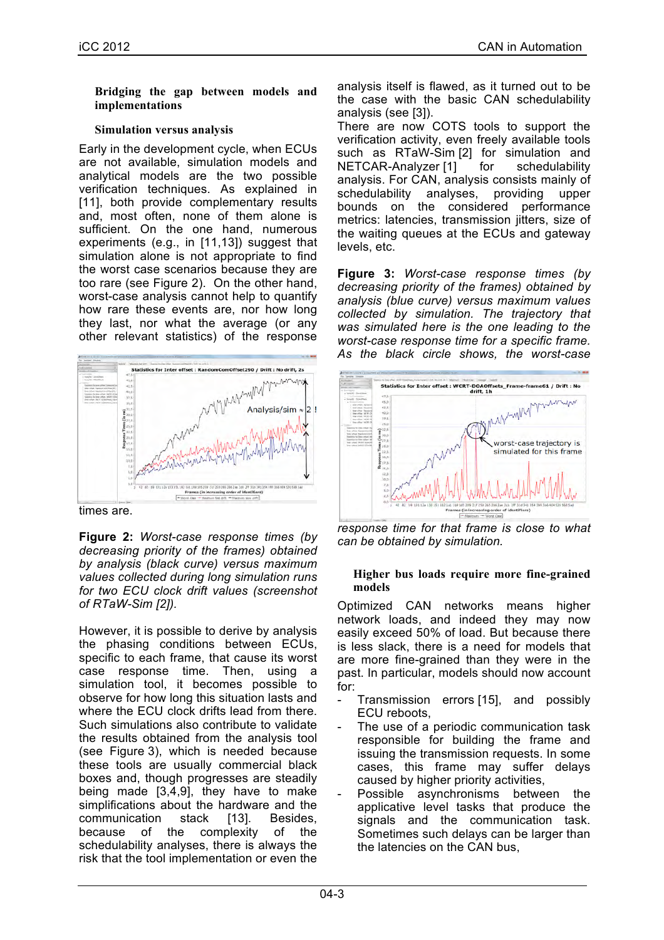#### **Bridging the gap between models and implementations**

### **Simulation versus analysis**

Early in the development cycle, when ECUs are not available, simulation models and analytical models are the two possible verification techniques. As explained in [11], both provide complementary results and, most often, none of them alone is sufficient. On the one hand, numerous experiments (e.g., in [11,13]) suggest that simulation alone is not appropriate to find the worst case scenarios because they are too rare (see Figure 2). On the other hand, worst-case analysis cannot help to quantify how rare these events are, nor how long they last, nor what the average (or any other relevant statistics) of the response



times are.

**Figure 2:** *Worst-case response times (by decreasing priority of the frames) obtained by analysis (black curve) versus maximum values collected during long simulation runs for two ECU clock drift values (screenshot of RTaW-Sim [2]).*

However, it is possible to derive by analysis the phasing conditions between ECUs, specific to each frame, that cause its worst case response time. Then, using a simulation tool, it becomes possible to observe for how long this situation lasts and where the ECU clock drifts lead from there. Such simulations also contribute to validate the results obtained from the analysis tool (see Figure 3), which is needed because these tools are usually commercial black boxes and, though progresses are steadily being made [3,4,9], they have to make simplifications about the hardware and the communication stack [13]. Besides, because of the complexity of the schedulability analyses, there is always the risk that the tool implementation or even the

analysis itself is flawed, as it turned out to be the case with the basic CAN schedulability analysis (see [3]).

There are now COTS tools to support the verification activity, even freely available tools such as RTaW-Sim [2] for simulation and NETCAR-Analyzer [1] for schedulability analysis. For CAN, analysis consists mainly of schedulability analyses, providing upper bounds on the considered performance metrics: latencies, transmission jitters, size of the waiting queues at the ECUs and gateway levels, etc.

**Figure 3:** *Worst-case response times (by decreasing priority of the frames) obtained by analysis (blue curve) versus maximum values collected by simulation. The trajectory that was simulated here is the one leading to the worst-case response time for a specific frame. As the black circle shows, the worst-case* 



*response time for that frame is close to what can be obtained by simulation.*

#### **Higher bus loads require more fine-grained models**

Optimized CAN networks means higher network loads, and indeed they may now easily exceed 50% of load. But because there is less slack, there is a need for models that are more fine-grained than they were in the past. In particular, models should now account for:

- Transmission errors [15], and possibly ECU reboots,
- The use of a periodic communication task responsible for building the frame and issuing the transmission requests. In some cases, this frame may suffer delays caused by higher priority activities,
- Possible asynchronisms between the applicative level tasks that produce the signals and the communication task. Sometimes such delays can be larger than the latencies on the CAN bus,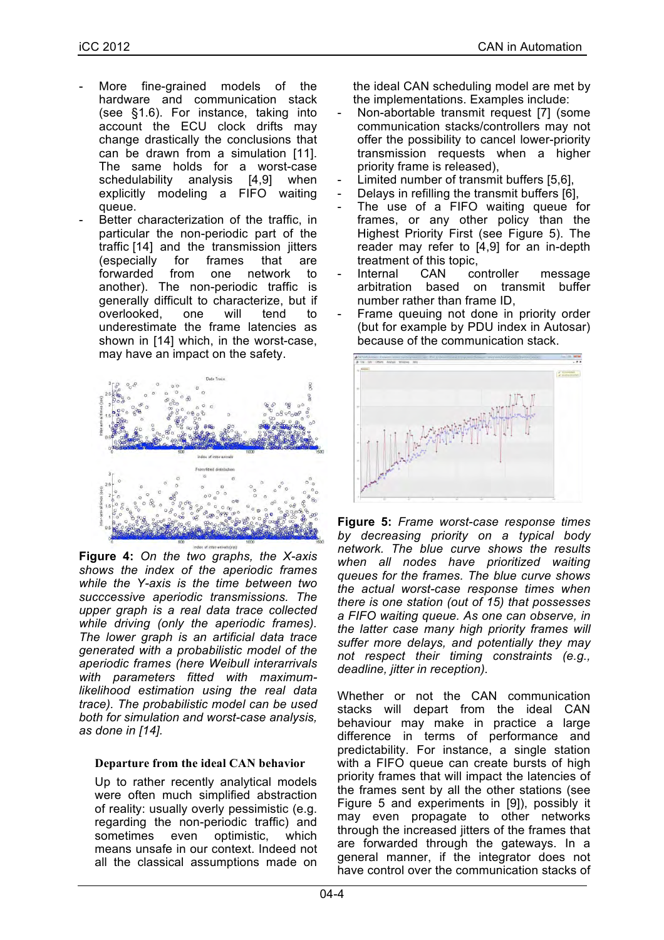- More fine-grained models of the hardware and communication stack (see §1.6). For instance, taking into account the ECU clock drifts may change drastically the conclusions that can be drawn from a simulation [11]. The same holds for a worst-case schedulability analysis [4,9] when explicitly modeling a FIFO waiting queue.
- Better characterization of the traffic, in particular the non-periodic part of the traffic [14] and the transmission jitters (especially for frames that are forwarded from one network to another). The non-periodic traffic is generally difficult to characterize, but if overlooked, one will tend to underestimate the frame latencies as shown in [14] which, in the worst-case, may have an impact on the safety.



**Figure 4:** *On the two graphs, the X-axis shows the index of the aperiodic frames while the Y-axis is the time between two succcessive aperiodic transmissions. The upper graph is a real data trace collected while driving (only the aperiodic frames). The lower graph is an artificial data trace generated with a probabilistic model of the aperiodic frames (here Weibull interarrivals with parameters fitted with maximumlikelihood estimation using the real data trace). The probabilistic model can be used both for simulation and worst-case analysis, as done in [14].*

#### **Departure from the ideal CAN behavior**

Up to rather recently analytical models were often much simplified abstraction of reality: usually overly pessimistic (e.g. regarding the non-periodic traffic) and sometimes even optimistic, which means unsafe in our context. Indeed not all the classical assumptions made on

the ideal CAN scheduling model are met by the implementations. Examples include:

- Non-abortable transmit request [7] (some communication stacks/controllers may not offer the possibility to cancel lower-priority transmission requests when a higher priority frame is released),
- Limited number of transmit buffers [5,6],
- Delays in refilling the transmit buffers [6],
- The use of a FIFO waiting queue for frames, or any other policy than the Highest Priority First (see Figure 5). The reader may refer to [4,9] for an in-depth treatment of this topic,
- Internal CAN controller message arbitration based on transmit buffer number rather than frame ID,
- Frame queuing not done in priority order (but for example by PDU index in Autosar) because of the communication stack.



**Figure 5:** *Frame worst-case response times by decreasing priority on a typical body network. The blue curve shows the results when all nodes have prioritized waiting queues for the frames. The blue curve shows the actual worst-case response times when there is one station (out of 15) that possesses a FIFO waiting queue. As one can observe, in the latter case many high priority frames will suffer more delays, and potentially they may not respect their timing constraints (e.g., deadline, jitter in reception).*

Whether or not the CAN communication stacks will depart from the ideal CAN behaviour may make in practice a large difference in terms of performance and predictability. For instance, a single station with a FIFO queue can create bursts of high priority frames that will impact the latencies of the frames sent by all the other stations (see Figure 5 and experiments in [9]), possibly it may even propagate to other networks through the increased jitters of the frames that are forwarded through the gateways. In a general manner, if the integrator does not have control over the communication stacks of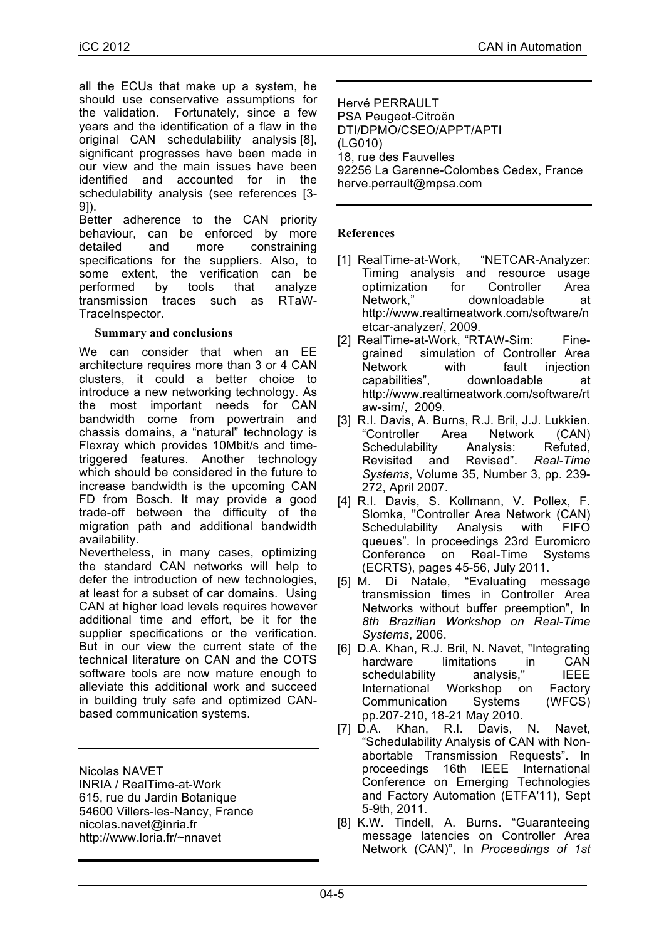all the ECUs that make up a system, he should use conservative assumptions for the validation. Fortunately, since a few years and the identification of a flaw in the original CAN schedulability analysis [8], significant progresses have been made in our view and the main issues have been identified and accounted for in the schedulability analysis (see references [3- 9]).

Better adherence to the CAN priority behaviour, can be enforced by more detailed and more constraining specifications for the suppliers. Also, to some extent, the verification can be performed by tools that analyze transmission traces such as RTaW-TraceInspector.

#### **Summary and conclusions**

We can consider that when an EE architecture requires more than 3 or 4 CAN clusters, it could a better choice to introduce a new networking technology. As the most important needs for CAN bandwidth come from powertrain and chassis domains, a "natural" technology is Flexray which provides 10Mbit/s and timetriggered features. Another technology which should be considered in the future to increase bandwidth is the upcoming CAN FD from Bosch. It may provide a good trade-off between the difficulty of the migration path and additional bandwidth availability.

Nevertheless, in many cases, optimizing the standard CAN networks will help to defer the introduction of new technologies, at least for a subset of car domains. Using CAN at higher load levels requires however additional time and effort, be it for the supplier specifications or the verification. But in our view the current state of the technical literature on CAN and the COTS software tools are now mature enough to alleviate this additional work and succeed in building truly safe and optimized CANbased communication systems.

Nicolas NAVET INRIA / RealTime-at-Work 615, rue du Jardin Botanique 54600 Villers-les-Nancy, France nicolas.navet@inria.fr http://www.loria.fr/~nnavet

Hervé PERRAULT PSA Peugeot-Citroën DTI/DPMO/CSEO/APPT/APTI (LG010) 18, rue des Fauvelles 92256 La Garenne-Colombes Cedex, France herve.perrault@mpsa.com

## **References**

- [1] RealTime-at-Work, "NETCAR-Analyzer: Timing analysis and resource usage optimization for Controller Area Network," downloadable at http://www.realtimeatwork.com/software/n etcar-analyzer/, 2009.
- [2] RealTime-at-Work, "RTAW-Sim: Finegrained simulation of Controller Area Network with fault injection capabilities", downloadable at http://www.realtimeatwork.com/software/rt aw-sim/, 2009.
- [3] R.I. Davis, A. Burns, R.J. Bril, J.J. Lukkien. "Controller Area Network (CAN) Schedulability Analysis: Refuted, Revisited and Revised". *Real-Time Systems*, Volume 35, Number 3, pp. 239- 272, April 2007.
- [4] R.I. Davis, S. Kollmann, V. Pollex, F. Slomka, "Controller Area Network (CAN)<br>Schedulability Analysis with FIFO Schedulability Analysis with FIFO queues". In proceedings 23rd Euromicro Conference on Real-Time Systems (ECRTS), pages 45-56, July 2011.
- [5] M. Di Natale, "Evaluating message transmission times in Controller Area Networks without buffer preemption", In *8th Brazilian Workshop on Real-Time Systems*, 2006.
- [6] D.A. Khan, R.J. Bril, N. Navet, "Integrating hardware limitations in CAN<br>schedulability analysis," IEEE schedulability analysis," IEEE International Workshop on Factory Communication Systems (WFCS) pp.207-210, 18-21 May 2010.
- [7] D.A. Khan, R.I. Davis, N. Navet, "Schedulability Analysis of CAN with Nonabortable Transmission Requests". In proceedings 16th IEEE International Conference on Emerging Technologies and Factory Automation (ETFA'11), Sept 5-9th, 2011.
- [8] K.W. Tindell, A. Burns. "Guaranteeing message latencies on Controller Area Network (CAN)", In *Proceedings of 1st*